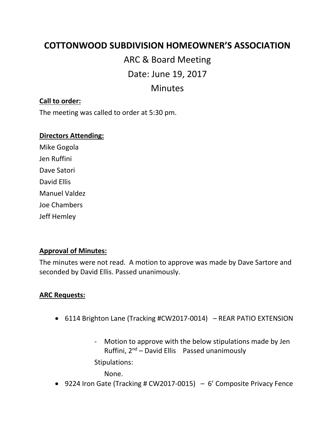## **COTTONWOOD SUBDIVISION HOMEOWNER'S ASSOCIATION**

# ARC & Board Meeting

Date: June 19, 2017

## Minutes

#### **Call to order:**

The meeting was called to order at 5:30 pm.

#### **Directors Attending:**

Mike Gogola Jen Ruffini Dave Satori David Ellis Manuel Valdez Joe Chambers Jeff Hemley

#### **Approval of Minutes:**

The minutes were not read. A motion to approve was made by Dave Sartore and seconded by David Ellis. Passed unanimously.

#### **ARC Requests:**

- 6114 Brighton Lane (Tracking #CW2017-0014) REAR PATIO EXTENSION
	- Motion to approve with the below stipulations made by Jen Ruffini,  $2^{nd}$  – David Ellis Passed unanimously

Stipulations:

None.

• 9224 Iron Gate (Tracking # CW2017-0015)  $-6'$  Composite Privacy Fence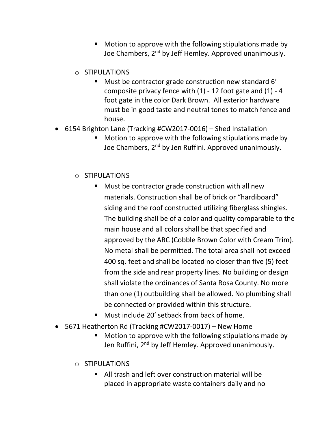- Motion to approve with the following stipulations made by Joe Chambers, 2<sup>nd</sup> by Jeff Hemley. Approved unanimously.
- o STIPULATIONS
	- Must be contractor grade construction new standard 6' composite privacy fence with  $(1)$  - 12 foot gate and  $(1)$  - 4 foot gate in the color Dark Brown. All exterior hardware must be in good taste and neutral tones to match fence and house.
- 6154 Brighton Lane (Tracking #CW2017-0016) Shed Installation
	- Motion to approve with the following stipulations made by Joe Chambers, 2<sup>nd</sup> by Jen Ruffini. Approved unanimously.

#### o STIPULATIONS

- Must be contractor grade construction with all new materials. Construction shall be of brick or "hardiboard" siding and the roof constructed utilizing fiberglass shingles. The building shall be of a color and quality comparable to the main house and all colors shall be that specified and approved by the ARC (Cobble Brown Color with Cream Trim). No metal shall be permitted. The total area shall not exceed 400 sq. feet and shall be located no closer than five (5) feet from the side and rear property lines. No building or design shall violate the ordinances of Santa Rosa County. No more than one (1) outbuilding shall be allowed. No plumbing shall be connected or provided within this structure.
- Must include 20' setback from back of home.
- 5671 Heatherton Rd (Tracking #CW2017-0017) New Home
	- Motion to approve with the following stipulations made by Jen Ruffini, 2<sup>nd</sup> by Jeff Hemley. Approved unanimously.
	- o STIPULATIONS
		- All trash and left over construction material will be placed in appropriate waste containers daily and no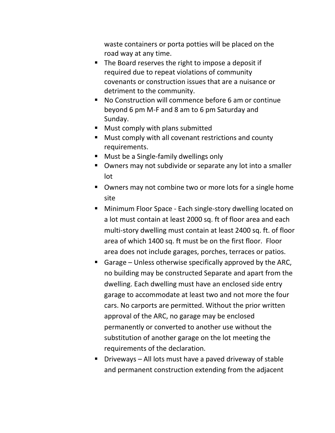waste containers or porta potties will be placed on the road way at any time.

- The Board reserves the right to impose a deposit if required due to repeat violations of community covenants or construction issues that are a nuisance or detriment to the community.
- No Construction will commence before 6 am or continue beyond 6 pm M-F and 8 am to 6 pm Saturday and Sunday.
- Must comply with plans submitted
- Must comply with all covenant restrictions and county requirements.
- Must be a Single-family dwellings only
- Owners may not subdivide or separate any lot into a smaller lot
- Owners may not combine two or more lots for a single home site
- Minimum Floor Space Each single-story dwelling located on a lot must contain at least 2000 sq. ft of floor area and each multi-story dwelling must contain at least 2400 sq. ft. of floor area of which 1400 sq. ft must be on the first floor. Floor area does not include garages, porches, terraces or patios.
- **E** Garage Unless otherwise specifically approved by the ARC, no building may be constructed Separate and apart from the dwelling. Each dwelling must have an enclosed side entry garage to accommodate at least two and not more the four cars. No carports are permitted. Without the prior written approval of the ARC, no garage may be enclosed permanently or converted to another use without the substitution of another garage on the lot meeting the requirements of the declaration.
- Driveways All lots must have a paved driveway of stable and permanent construction extending from the adjacent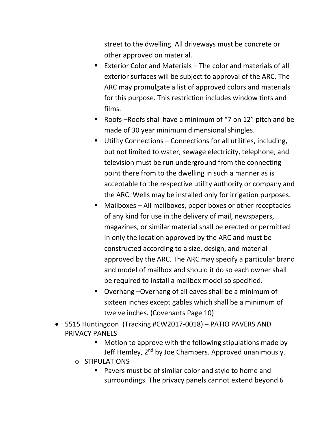street to the dwelling. All driveways must be concrete or other approved on material.

- Exterior Color and Materials The color and materials of all exterior surfaces will be subject to approval of the ARC. The ARC may promulgate a list of approved colors and materials for this purpose. This restriction includes window tints and films.
- Roofs –Roofs shall have a minimum of "7 on 12" pitch and be made of 30 year minimum dimensional shingles.
- Utility Connections Connections for all utilities, including, but not limited to water, sewage electricity, telephone, and television must be run underground from the connecting point there from to the dwelling in such a manner as is acceptable to the respective utility authority or company and the ARC. Wells may be installed only for irrigation purposes.
- Mailboxes All mailboxes, paper boxes or other receptacles of any kind for use in the delivery of mail, newspapers, magazines, or similar material shall be erected or permitted in only the location approved by the ARC and must be constructed according to a size, design, and material approved by the ARC. The ARC may specify a particular brand and model of mailbox and should it do so each owner shall be required to install a mailbox model so specified.
- Overhang –Overhang of all eaves shall be a minimum of sixteen inches except gables which shall be a minimum of twelve inches. (Covenants Page 10)
- 5515 Huntingdon (Tracking #CW2017-0018) PATIO PAVERS AND PRIVACY PANELS
	- Motion to approve with the following stipulations made by Jeff Hemley, 2<sup>nd</sup> by Joe Chambers. Approved unanimously.
	- o STIPULATIONS
		- Pavers must be of similar color and style to home and surroundings. The privacy panels cannot extend beyond 6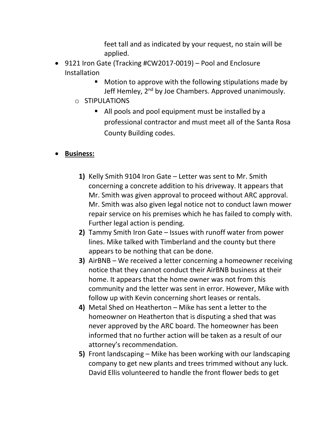feet tall and as indicated by your request, no stain will be applied.

- 9121 Iron Gate (Tracking #CW2017-0019) Pool and Enclosure Installation
	- Motion to approve with the following stipulations made by Jeff Hemley, 2<sup>nd</sup> by Joe Chambers. Approved unanimously.
	- o STIPULATIONS
		- All pools and pool equipment must be installed by a professional contractor and must meet all of the Santa Rosa County Building codes.

#### • **Business:**

- **1)** Kelly Smith 9104 Iron Gate Letter was sent to Mr. Smith concerning a concrete addition to his driveway. It appears that Mr. Smith was given approval to proceed without ARC approval. Mr. Smith was also given legal notice not to conduct lawn mower repair service on his premises which he has failed to comply with. Further legal action is pending.
- **2)** Tammy Smith Iron Gate Issues with runoff water from power lines. Mike talked with Timberland and the county but there appears to be nothing that can be done.
- **3)** AirBNB We received a letter concerning a homeowner receiving notice that they cannot conduct their AirBNB business at their home. It appears that the home owner was not from this community and the letter was sent in error. However, Mike with follow up with Kevin concerning short leases or rentals.
- **4)** Metal Shed on Heatherton Mike has sent a letter to the homeowner on Heatherton that is disputing a shed that was never approved by the ARC board. The homeowner has been informed that no further action will be taken as a result of our attorney's recommendation.
- **5)** Front landscaping Mike has been working with our landscaping company to get new plants and trees trimmed without any luck. David Ellis volunteered to handle the front flower beds to get